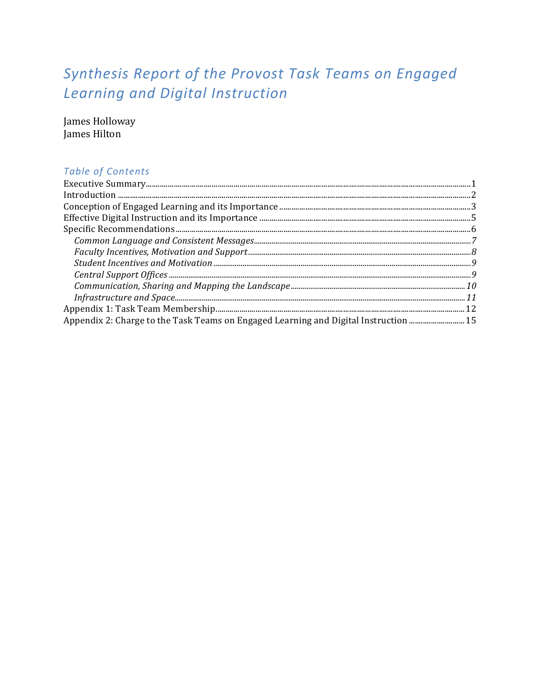# Synthesis Report of the Provost Task Teams on Engaged Learning and Digital Instruction

James Holloway James Hilton

# **Table of Contents**

| Appendix 2: Charge to the Task Teams on Engaged Learning and Digital Instruction  15 |
|--------------------------------------------------------------------------------------|
|                                                                                      |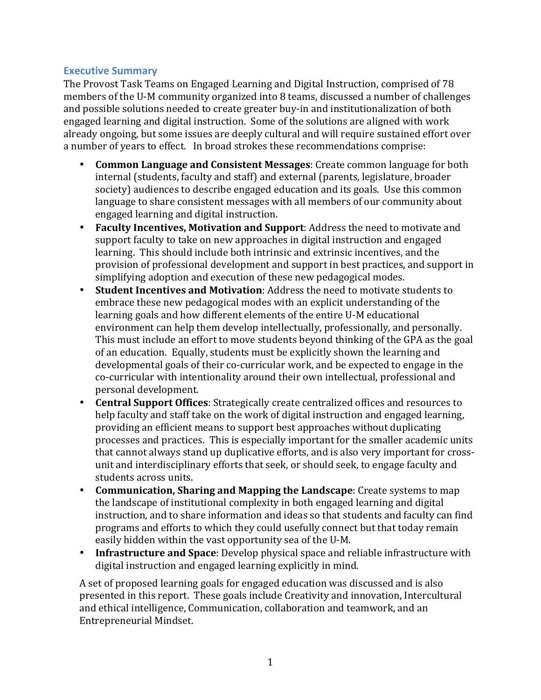#### **Executive Summary**

The Provost Task Teams on Engaged Learning and Digital Instruction, comprised of 78 members of the U-M community organized into 8 teams, discussed a number of challenges and possible solutions needed to create greater buy-in and institutionalization of both engaged learning and digital instruction. Some of the solutions are aligned with work already ongoing, but some issues are deeply cultural and will require sustained effort over a number of years to effect. In broad strokes these recommendations comprise:

- **Common Language and Consistent Messages:** Create common language for both internal (students, faculty and staff) and external (parents, legislature, broader society) audiences to describe engaged education and its goals. Use this common language to share consistent messages with all members of our community about engaged learning and digital instruction.
- Faculty Incentives, Motivation and Support: Address the need to motivate and support faculty to take on new approaches in digital instruction and engaged learning. This should include both intrinsic and extrinsic incentives, and the provision of professional development and support in best practices, and support in simplifying adoption and execution of these new pedagogical modes.
- Student Incentives and Motivation: Address the need to motivate students to embrace these new pedagogical modes with an explicit understanding of the learning goals and how different elements of the entire U-M educational environment can help them develop intellectually, professionally, and personally. This must include an effort to move students beyond thinking of the GPA as the goal of an education. Equally, students must be explicitly shown the learning and developmental goals of their co-curricular work, and be expected to engage in the co-curricular with intentionality around their own intellectual, professional and personal development.
- **Central Support Offices:** Strategically create centralized offices and resources to help faculty and staff take on the work of digital instruction and engaged learning, providing an efficient means to support best approaches without duplicating processes and practices. This is especially important for the smaller academic units that cannot always stand up duplicative efforts, and is also very important for crossunit and interdisciplinary efforts that seek, or should seek, to engage faculty and students across units.
- Communication, Sharing and Mapping the Landscape: Create systems to map the landscape of institutional complexity in both engaged learning and digital instruction, and to share information and ideas so that students and faculty can find programs and efforts to which they could usefully connect but that today remain easily hidden within the vast opportunity sea of the U-M.
- **Infrastructure and Space**: Develop physical space and reliable infrastructure with digital instruction and engaged learning explicitly in mind.

A set of proposed learning goals for engaged education was discussed and is also presented in this report. These goals include Creativity and innovation, Intercultural and ethical intelligence, Communication, collaboration and teamwork, and an Entrepreneurial Mindset.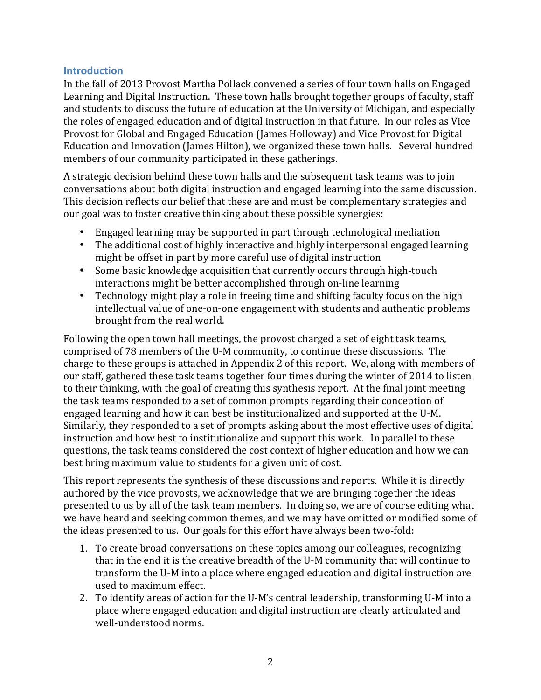### **Introduction**

In the fall of 2013 Provost Martha Pollack convened a series of four town halls on Engaged Learning and Digital Instruction. These town halls brought together groups of faculty, staff and students to discuss the future of education at the University of Michigan, and especially the roles of engaged education and of digital instruction in that future. In our roles as Vice Provost for Global and Engaged Education (James Holloway) and Vice Provost for Digital Education and Innovation (James Hilton), we organized these town halls. Several hundred members of our community participated in these gatherings.

A strategic decision behind these town halls and the subsequent task teams was to join conversations about both digital instruction and engaged learning into the same discussion. This decision reflects our belief that these are and must be complementary strategies and our goal was to foster creative thinking about these possible synergies:

- Engaged learning may be supported in part through technological mediation
- The additional cost of highly interactive and highly interpersonal engaged learning might be offset in part by more careful use of digital instruction
- Some basic knowledge acquisition that currently occurs through high-touch interactions might be better accomplished through on-line learning
- Technology might play a role in freeing time and shifting faculty focus on the high intellectual value of one-on-one engagement with students and authentic problems brought from the real world.

Following the open town hall meetings, the provost charged a set of eight task teams, comprised of 78 members of the U-M community, to continue these discussions. The charge to these groups is attached in Appendix 2 of this report. We, along with members of our staff, gathered these task teams together four times during the winter of 2014 to listen to their thinking, with the goal of creating this synthesis report. At the final joint meeting the task teams responded to a set of common prompts regarding their conception of engaged learning and how it can best be institutionalized and supported at the U-M. Similarly, they responded to a set of prompts asking about the most effective uses of digital instruction and how best to institutionalize and support this work. In parallel to these questions, the task teams considered the cost context of higher education and how we can best bring maximum value to students for a given unit of cost.

This report represents the synthesis of these discussions and reports. While it is directly authored by the vice provosts, we acknowledge that we are bringing together the ideas presented to us by all of the task team members. In doing so, we are of course editing what we have heard and seeking common themes, and we may have omitted or modified some of the ideas presented to us. Our goals for this effort have always been two-fold:

- 1. To create broad conversations on these topics among our colleagues, recognizing that in the end it is the creative breadth of the U-M community that will continue to transform the U-M into a place where engaged education and digital instruction are used to maximum effect.
- 2. To identify areas of action for the U-M's central leadership, transforming U-M into a place where engaged education and digital instruction are clearly articulated and well-understood norms.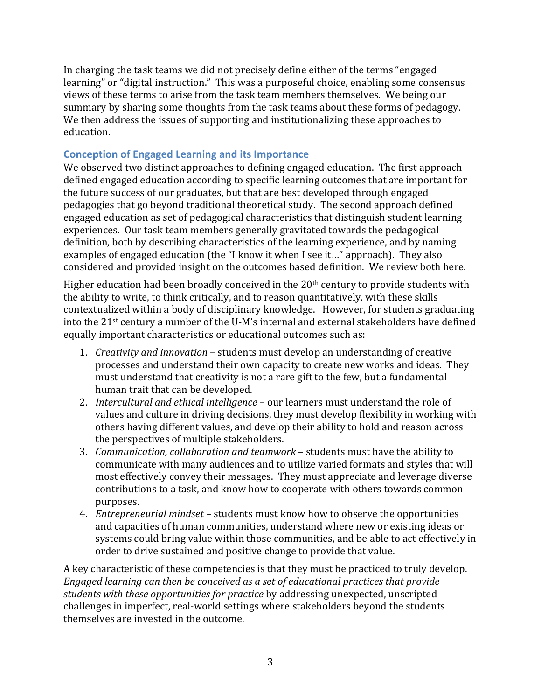In charging the task teams we did not precisely define either of the terms "engaged" learning" or "digital instruction." This was a purposeful choice, enabling some consensus views of these terms to arise from the task team members themselves. We being our summary by sharing some thoughts from the task teams about these forms of pedagogy. We then address the issues of supporting and institutionalizing these approaches to education.

## **Conception of Engaged Learning and its Importance**

We observed two distinct approaches to defining engaged education. The first approach defined engaged education according to specific learning outcomes that are important for the future success of our graduates, but that are best developed through engaged pedagogies that go beyond traditional theoretical study. The second approach defined engaged education as set of pedagogical characteristics that distinguish student learning experiences. Our task team members generally gravitated towards the pedagogical definition, both by describing characteristics of the learning experience, and by naming examples of engaged education (the "I know it when I see it..." approach). They also considered and provided insight on the outcomes based definition. We review both here.

Higher education had been broadly conceived in the  $20<sup>th</sup>$  century to provide students with the ability to write, to think critically, and to reason quantitatively, with these skills contextualized within a body of disciplinary knowledge. However, for students graduating into the 21<sup>st</sup> century a number of the U-M's internal and external stakeholders have defined equally important characteristics or educational outcomes such as:

- 1. *Creativity and innovation* students must develop an understanding of creative processes and understand their own capacity to create new works and ideas. They must understand that creativity is not a rare gift to the few, but a fundamental human trait that can be developed.
- 2. *Intercultural and ethical intelligence* our learners must understand the role of values and culture in driving decisions, they must develop flexibility in working with others having different values, and develop their ability to hold and reason across the perspectives of multiple stakeholders.
- 3. *Communication, collaboration and teamwork* students must have the ability to communicate with many audiences and to utilize varied formats and styles that will most effectively convey their messages. They must appreciate and leverage diverse contributions to a task, and know how to cooperate with others towards common purposes.
- 4. *Entrepreneurial mindset* students must know how to observe the opportunities and capacities of human communities, understand where new or existing ideas or systems could bring value within those communities, and be able to act effectively in order to drive sustained and positive change to provide that value.

A key characteristic of these competencies is that they must be practiced to truly develop. *Engaged learning can then be conceived as a set of educational practices that provide students with these opportunities for practice* by addressing unexpected, unscripted challenges in imperfect, real-world settings where stakeholders beyond the students themselves are invested in the outcome.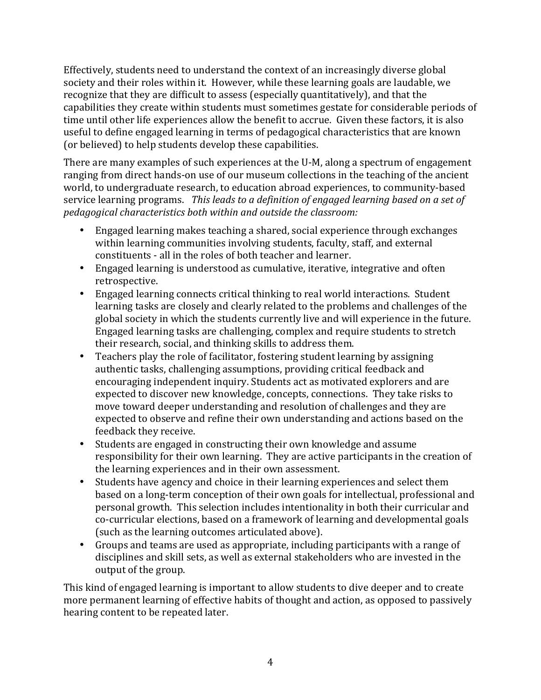Effectively, students need to understand the context of an increasingly diverse global society and their roles within it. However, while these learning goals are laudable, we recognize that they are difficult to assess (especially quantitatively), and that the capabilities they create within students must sometimes gestate for considerable periods of time until other life experiences allow the benefit to accrue. Given these factors, it is also useful to define engaged learning in terms of pedagogical characteristics that are known (or believed) to help students develop these capabilities.

There are many examples of such experiences at the U-M, along a spectrum of engagement ranging from direct hands-on use of our museum collections in the teaching of the ancient world, to undergraduate research, to education abroad experiences, to community-based service learning programs. This leads to a definition of engaged learning based on a set of *pedagogical characteristics both within and outside the classroom:* 

- Engaged learning makes teaching a shared, social experience through exchanges within learning communities involving students, faculty, staff, and external constituents - all in the roles of both teacher and learner.
- Engaged learning is understood as cumulative, iterative, integrative and often retrospective.
- Engaged learning connects critical thinking to real world interactions. Student learning tasks are closely and clearly related to the problems and challenges of the global society in which the students currently live and will experience in the future. Engaged learning tasks are challenging, complex and require students to stretch their research, social, and thinking skills to address them.
- Teachers play the role of facilitator, fostering student learning by assigning authentic tasks, challenging assumptions, providing critical feedback and encouraging independent inquiry. Students act as motivated explorers and are expected to discover new knowledge, concepts, connections. They take risks to move toward deeper understanding and resolution of challenges and they are expected to observe and refine their own understanding and actions based on the feedback they receive.
- Students are engaged in constructing their own knowledge and assume responsibility for their own learning. They are active participants in the creation of the learning experiences and in their own assessment.
- Students have agency and choice in their learning experiences and select them based on a long-term conception of their own goals for intellectual, professional and personal growth. This selection includes intentionality in both their curricular and co-curricular elections, based on a framework of learning and developmental goals (such as the learning outcomes articulated above).
- Groups and teams are used as appropriate, including participants with a range of disciplines and skill sets, as well as external stakeholders who are invested in the output of the group.

This kind of engaged learning is important to allow students to dive deeper and to create more permanent learning of effective habits of thought and action, as opposed to passively hearing content to be repeated later.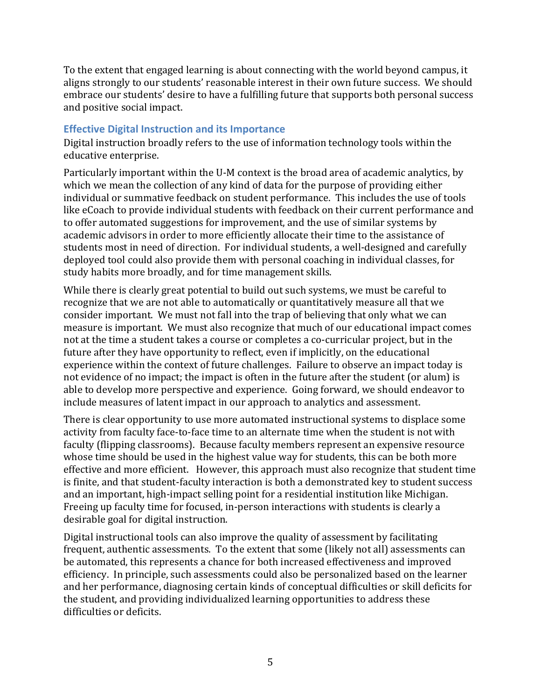To the extent that engaged learning is about connecting with the world beyond campus, it aligns strongly to our students' reasonable interest in their own future success. We should embrace our students' desire to have a fulfilling future that supports both personal success and positive social impact.

#### **Effective Digital Instruction and its Importance**

Digital instruction broadly refers to the use of information technology tools within the educative enterprise.

Particularly important within the U-M context is the broad area of academic analytics, by which we mean the collection of any kind of data for the purpose of providing either individual or summative feedback on student performance. This includes the use of tools like eCoach to provide individual students with feedback on their current performance and to offer automated suggestions for improvement, and the use of similar systems by academic advisors in order to more efficiently allocate their time to the assistance of students most in need of direction. For individual students, a well-designed and carefully deployed tool could also provide them with personal coaching in individual classes, for study habits more broadly, and for time management skills.

While there is clearly great potential to build out such systems, we must be careful to recognize that we are not able to automatically or quantitatively measure all that we consider important. We must not fall into the trap of believing that only what we can measure is important. We must also recognize that much of our educational impact comes not at the time a student takes a course or completes a co-curricular project, but in the future after they have opportunity to reflect, even if implicitly, on the educational experience within the context of future challenges. Failure to observe an impact today is not evidence of no impact; the impact is often in the future after the student (or alum) is able to develop more perspective and experience. Going forward, we should endeavor to include measures of latent impact in our approach to analytics and assessment.

There is clear opportunity to use more automated instructional systems to displace some activity from faculty face-to-face time to an alternate time when the student is not with faculty (flipping classrooms). Because faculty members represent an expensive resource whose time should be used in the highest value way for students, this can be both more effective and more efficient. However, this approach must also recognize that student time is finite, and that student-faculty interaction is both a demonstrated key to student success and an important, high-impact selling point for a residential institution like Michigan. Freeing up faculty time for focused, in-person interactions with students is clearly a desirable goal for digital instruction.

Digital instructional tools can also improve the quality of assessment by facilitating frequent, authentic assessments. To the extent that some (likely not all) assessments can be automated, this represents a chance for both increased effectiveness and improved efficiency. In principle, such assessments could also be personalized based on the learner and her performance, diagnosing certain kinds of conceptual difficulties or skill deficits for the student, and providing individualized learning opportunities to address these difficulties or deficits.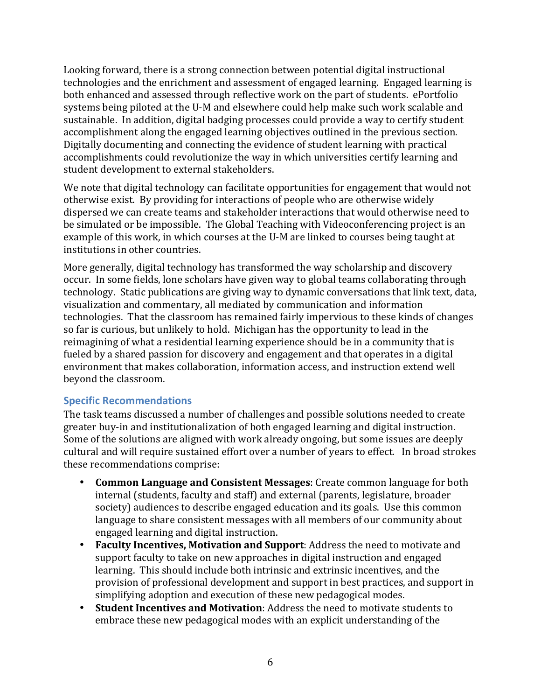Looking forward, there is a strong connection between potential digital instructional technologies and the enrichment and assessment of engaged learning. Engaged learning is both enhanced and assessed through reflective work on the part of students. ePortfolio systems being piloted at the U-M and elsewhere could help make such work scalable and sustainable. In addition, digital badging processes could provide a way to certify student accomplishment along the engaged learning objectives outlined in the previous section. Digitally documenting and connecting the evidence of student learning with practical accomplishments could revolutionize the way in which universities certify learning and student development to external stakeholders.

We note that digital technology can facilitate opportunities for engagement that would not otherwise exist. By providing for interactions of people who are otherwise widely dispersed we can create teams and stakeholder interactions that would otherwise need to be simulated or be impossible. The Global Teaching with Videoconferencing project is an example of this work, in which courses at the U-M are linked to courses being taught at institutions in other countries.

More generally, digital technology has transformed the way scholarship and discovery occur. In some fields, lone scholars have given way to global teams collaborating through technology. Static publications are giving way to dynamic conversations that link text, data, visualization and commentary, all mediated by communication and information technologies. That the classroom has remained fairly impervious to these kinds of changes so far is curious, but unlikely to hold. Michigan has the opportunity to lead in the reimagining of what a residential learning experience should be in a community that is fueled by a shared passion for discovery and engagement and that operates in a digital environment that makes collaboration, information access, and instruction extend well beyond the classroom.

#### **Specific Recommendations**

The task teams discussed a number of challenges and possible solutions needed to create greater buy-in and institutionalization of both engaged learning and digital instruction. Some of the solutions are aligned with work already ongoing, but some issues are deeply cultural and will require sustained effort over a number of years to effect. In broad strokes these recommendations comprise:

- **Common Language and Consistent Messages:** Create common language for both internal (students, faculty and staff) and external (parents, legislature, broader society) audiences to describe engaged education and its goals. Use this common language to share consistent messages with all members of our community about engaged learning and digital instruction.
- Faculty Incentives, Motivation and Support: Address the need to motivate and support faculty to take on new approaches in digital instruction and engaged learning. This should include both intrinsic and extrinsic incentives, and the provision of professional development and support in best practices, and support in simplifying adoption and execution of these new pedagogical modes.
- Student Incentives and Motivation: Address the need to motivate students to embrace these new pedagogical modes with an explicit understanding of the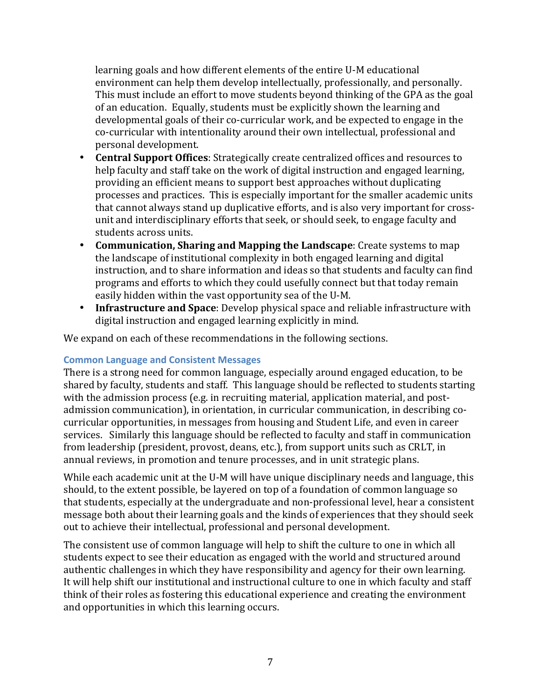learning goals and how different elements of the entire U-M educational environment can help them develop intellectually, professionally, and personally. This must include an effort to move students beyond thinking of the GPA as the goal of an education. Equally, students must be explicitly shown the learning and developmental goals of their co-curricular work, and be expected to engage in the co-curricular with intentionality around their own intellectual, professional and personal development.

- **Central Support Offices:** Strategically create centralized offices and resources to help faculty and staff take on the work of digital instruction and engaged learning, providing an efficient means to support best approaches without duplicating processes and practices. This is especially important for the smaller academic units that cannot always stand up duplicative efforts, and is also very important for crossunit and interdisciplinary efforts that seek, or should seek, to engage faculty and students across units.
- **Communication, Sharing and Mapping the Landscape**: Create systems to map the landscape of institutional complexity in both engaged learning and digital instruction, and to share information and ideas so that students and faculty can find programs and efforts to which they could usefully connect but that today remain easily hidden within the vast opportunity sea of the U-M.
- **Infrastructure and Space**: Develop physical space and reliable infrastructure with digital instruction and engaged learning explicitly in mind.

We expand on each of these recommendations in the following sections.

#### **Common Language and Consistent Messages**

There is a strong need for common language, especially around engaged education, to be shared by faculty, students and staff. This language should be reflected to students starting with the admission process (e.g. in recruiting material, application material, and postadmission communication), in orientation, in curricular communication, in describing cocurricular opportunities, in messages from housing and Student Life, and even in career services. Similarly this language should be reflected to faculty and staff in communication from leadership (president, provost, deans, etc.), from support units such as CRLT, in annual reviews, in promotion and tenure processes, and in unit strategic plans.

While each academic unit at the U-M will have unique disciplinary needs and language, this should, to the extent possible, be layered on top of a foundation of common language so that students, especially at the undergraduate and non-professional level, hear a consistent message both about their learning goals and the kinds of experiences that they should seek out to achieve their intellectual, professional and personal development.

The consistent use of common language will help to shift the culture to one in which all students expect to see their education as engaged with the world and structured around authentic challenges in which they have responsibility and agency for their own learning. It will help shift our institutional and instructional culture to one in which faculty and staff think of their roles as fostering this educational experience and creating the environment and opportunities in which this learning occurs.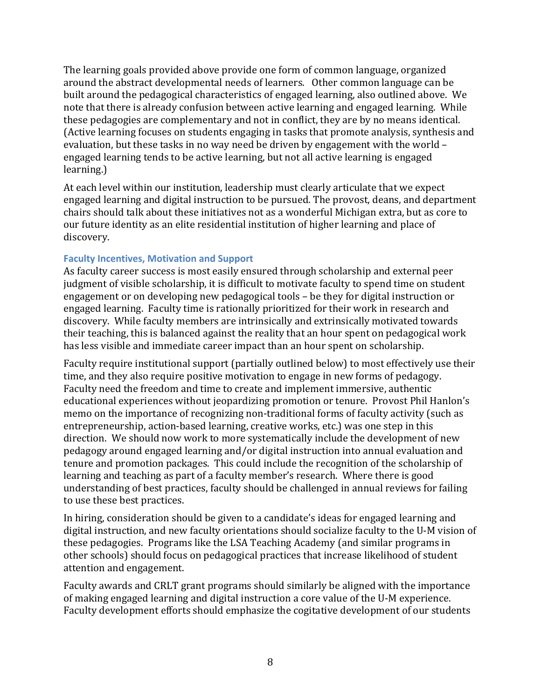The learning goals provided above provide one form of common language, organized around the abstract developmental needs of learners. Other common language can be built around the pedagogical characteristics of engaged learning, also outlined above. We note that there is already confusion between active learning and engaged learning. While these pedagogies are complementary and not in conflict, they are by no means identical. (Active learning focuses on students engaging in tasks that promote analysis, synthesis and evaluation, but these tasks in no way need be driven by engagement with the world – engaged learning tends to be active learning, but not all active learning is engaged learning.)

At each level within our institution, leadership must clearly articulate that we expect engaged learning and digital instruction to be pursued. The provost, deans, and department chairs should talk about these initiatives not as a wonderful Michigan extra, but as core to our future identity as an elite residential institution of higher learning and place of discovery.

#### **Faculty Incentives, Motivation and Support**

As faculty career success is most easily ensured through scholarship and external peer judgment of visible scholarship, it is difficult to motivate faculty to spend time on student engagement or on developing new pedagogical tools – be they for digital instruction or engaged learning. Faculty time is rationally prioritized for their work in research and discovery. While faculty members are intrinsically and extrinsically motivated towards their teaching, this is balanced against the reality that an hour spent on pedagogical work has less visible and immediate career impact than an hour spent on scholarship.

Faculty require institutional support (partially outlined below) to most effectively use their time, and they also require positive motivation to engage in new forms of pedagogy. Faculty need the freedom and time to create and implement immersive, authentic educational experiences without jeopardizing promotion or tenure. Provost Phil Hanlon's memo on the importance of recognizing non-traditional forms of faculty activity (such as entrepreneurship, action-based learning, creative works, etc.) was one step in this direction. We should now work to more systematically include the development of new pedagogy around engaged learning and/or digital instruction into annual evaluation and tenure and promotion packages. This could include the recognition of the scholarship of learning and teaching as part of a faculty member's research. Where there is good understanding of best practices, faculty should be challenged in annual reviews for failing to use these best practices.

In hiring, consideration should be given to a candidate's ideas for engaged learning and digital instruction, and new faculty orientations should socialize faculty to the U-M vision of these pedagogies. Programs like the LSA Teaching Academy (and similar programs in other schools) should focus on pedagogical practices that increase likelihood of student attention and engagement.

Faculty awards and CRLT grant programs should similarly be aligned with the importance of making engaged learning and digital instruction a core value of the U-M experience. Faculty development efforts should emphasize the cogitative development of our students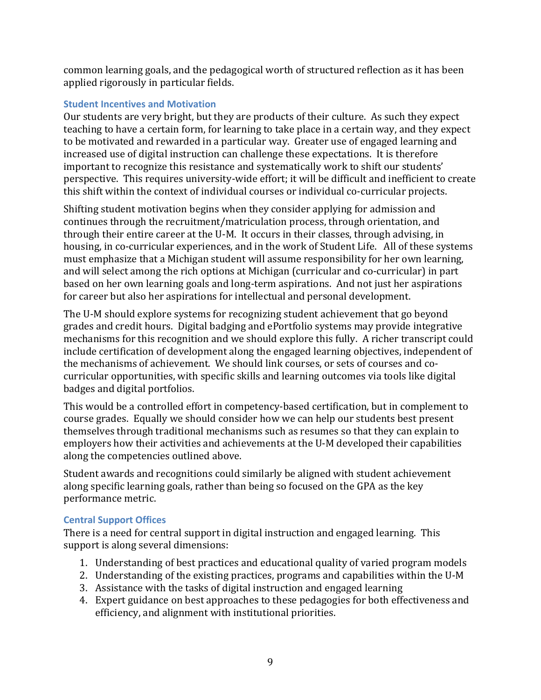common learning goals, and the pedagogical worth of structured reflection as it has been applied rigorously in particular fields.

#### **Student Incentives and Motivation**

Our students are very bright, but they are products of their culture. As such they expect teaching to have a certain form, for learning to take place in a certain way, and they expect to be motivated and rewarded in a particular way. Greater use of engaged learning and increased use of digital instruction can challenge these expectations. It is therefore important to recognize this resistance and systematically work to shift our students' perspective. This requires university-wide effort; it will be difficult and inefficient to create this shift within the context of individual courses or individual co-curricular projects.

Shifting student motivation begins when they consider applying for admission and continues through the recruitment/matriculation process, through orientation, and through their entire career at the U-M. It occurs in their classes, through advising, in housing, in co-curricular experiences, and in the work of Student Life. All of these systems must emphasize that a Michigan student will assume responsibility for her own learning. and will select among the rich options at Michigan (curricular and co-curricular) in part based on her own learning goals and long-term aspirations. And not just her aspirations for career but also her aspirations for intellectual and personal development.

The U-M should explore systems for recognizing student achievement that go beyond grades and credit hours. Digital badging and ePortfolio systems may provide integrative mechanisms for this recognition and we should explore this fully. A richer transcript could include certification of development along the engaged learning objectives, independent of the mechanisms of achievement. We should link courses, or sets of courses and cocurricular opportunities, with specific skills and learning outcomes via tools like digital badges and digital portfolios.

This would be a controlled effort in competency-based certification, but in complement to course grades. Equally we should consider how we can help our students best present themselves through traditional mechanisms such as resumes so that they can explain to employers how their activities and achievements at the U-M developed their capabilities along the competencies outlined above.

Student awards and recognitions could similarly be aligned with student achievement along specific learning goals, rather than being so focused on the GPA as the key performance metric.

## **Central Support Offices**

There is a need for central support in digital instruction and engaged learning. This support is along several dimensions:

- 1. Understanding of best practices and educational quality of varied program models
- 2. Understanding of the existing practices, programs and capabilities within the U-M
- 3. Assistance with the tasks of digital instruction and engaged learning
- 4. Expert guidance on best approaches to these pedagogies for both effectiveness and efficiency, and alignment with institutional priorities.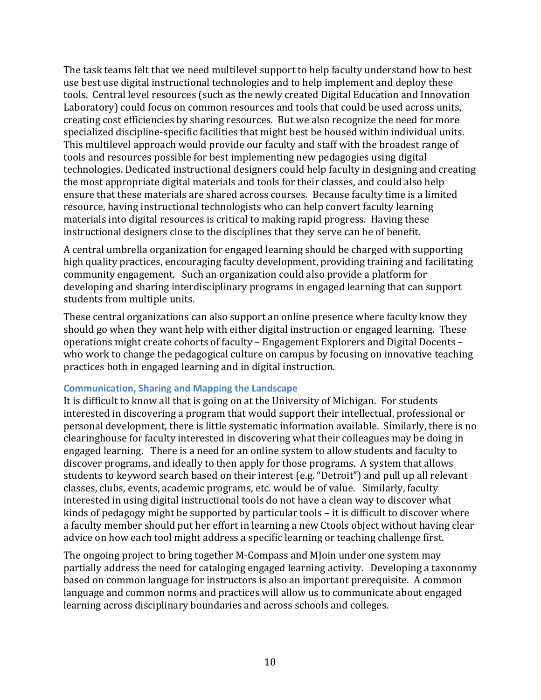The task teams felt that we need multilevel support to help faculty understand how to best use best use digital instructional technologies and to help implement and deploy these tools. Central level resources (such as the newly created Digital Education and Innovation Laboratory) could focus on common resources and tools that could be used across units, creating cost efficiencies by sharing resources. But we also recognize the need for more specialized discipline-specific facilities that might best be housed within individual units. This multilevel approach would provide our faculty and staff with the broadest range of tools and resources possible for best implementing new pedagogies using digital technologies. Dedicated instructional designers could help faculty in designing and creating the most appropriate digital materials and tools for their classes, and could also help ensure that these materials are shared across courses. Because faculty time is a limited resource, having instructional technologists who can help convert faculty learning materials into digital resources is critical to making rapid progress. Having these instructional designers close to the disciplines that they serve can be of benefit.

A central umbrella organization for engaged learning should be charged with supporting high quality practices, encouraging faculty development, providing training and facilitating community engagement. Such an organization could also provide a platform for developing and sharing interdisciplinary programs in engaged learning that can support students from multiple units.

These central organizations can also support an online presence where faculty know they should go when they want help with either digital instruction or engaged learning. These operations might create cohorts of faculty – Engagement Explorers and Digital Docents – who work to change the pedagogical culture on campus by focusing on innovative teaching practices both in engaged learning and in digital instruction.

#### **Communication, Sharing and Mapping the Landscape**

It is difficult to know all that is going on at the University of Michigan. For students interested in discovering a program that would support their intellectual, professional or personal development, there is little systematic information available. Similarly, there is no clearinghouse for faculty interested in discovering what their colleagues may be doing in engaged learning. There is a need for an online system to allow students and faculty to discover programs, and ideally to then apply for those programs. A system that allows students to keyword search based on their interest (e.g. "Detroit") and pull up all relevant classes, clubs, events, academic programs, etc. would be of value. Similarly, faculty interested in using digital instructional tools do not have a clean way to discover what kinds of pedagogy might be supported by particular tools  $-$  it is difficult to discover where a faculty member should put her effort in learning a new Ctools object without having clear advice on how each tool might address a specific learning or teaching challenge first.

The ongoing project to bring together M-Compass and M oin under one system may partially address the need for cataloging engaged learning activity. Developing a taxonomy based on common language for instructors is also an important prerequisite. A common language and common norms and practices will allow us to communicate about engaged learning across disciplinary boundaries and across schools and colleges.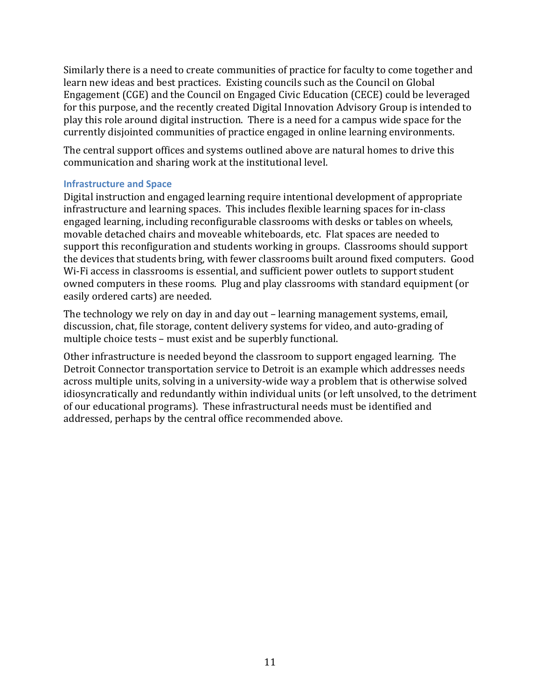Similarly there is a need to create communities of practice for faculty to come together and learn new ideas and best practices. Existing councils such as the Council on Global Engagement  $(CGE)$  and the Council on Engaged Civic Education  $(CECE)$  could be leveraged for this purpose, and the recently created Digital Innovation Advisory Group is intended to play this role around digital instruction. There is a need for a campus wide space for the currently disjointed communities of practice engaged in online learning environments.

The central support offices and systems outlined above are natural homes to drive this communication and sharing work at the institutional level.

#### **Infrastructure and Space**

Digital instruction and engaged learning require intentional development of appropriate infrastructure and learning spaces. This includes flexible learning spaces for in-class engaged learning, including reconfigurable classrooms with desks or tables on wheels, movable detached chairs and moveable whiteboards, etc. Flat spaces are needed to support this reconfiguration and students working in groups. Classrooms should support the devices that students bring, with fewer classrooms built around fixed computers. Good Wi-Fi access in classrooms is essential, and sufficient power outlets to support student owned computers in these rooms. Plug and play classrooms with standard equipment (or easily ordered carts) are needed.

The technology we rely on day in and day out – learning management systems, email, discussion, chat, file storage, content delivery systems for video, and auto-grading of multiple choice tests – must exist and be superbly functional.

Other infrastructure is needed beyond the classroom to support engaged learning. The Detroit Connector transportation service to Detroit is an example which addresses needs across multiple units, solving in a university-wide way a problem that is otherwise solved idiosyncratically and redundantly within individual units (or left unsolved, to the detriment of our educational programs). These infrastructural needs must be identified and addressed, perhaps by the central office recommended above.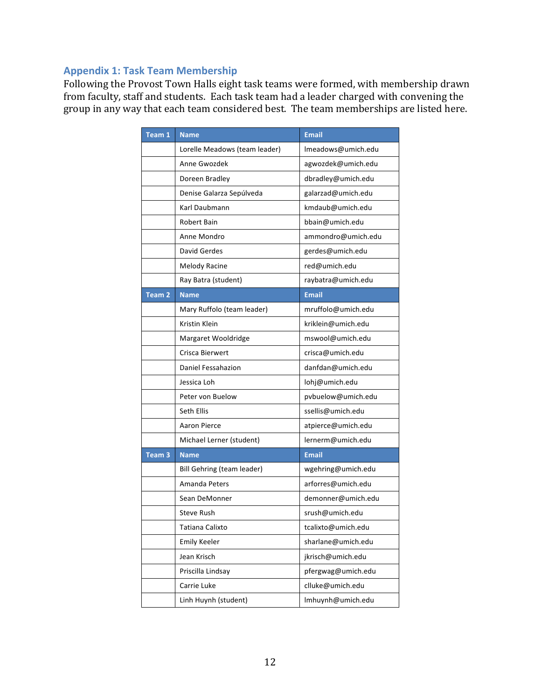#### **Appendix 1: Task Team Membership**

Following the Provost Town Halls eight task teams were formed, with membership drawn from faculty, staff and students. Each task team had a leader charged with convening the group in any way that each team considered best. The team memberships are listed here.

| Team 1            | <b>Name</b>                   | <b>Email</b>       |
|-------------------|-------------------------------|--------------------|
|                   | Lorelle Meadows (team leader) | Imeadows@umich.edu |
|                   | Anne Gwozdek                  | agwozdek@umich.edu |
|                   | Doreen Bradley                | dbradley@umich.edu |
|                   | Denise Galarza Sepúlveda      | galarzad@umich.edu |
|                   | Karl Daubmann                 | kmdaub@umich.edu   |
|                   | Robert Bain                   | bbain@umich.edu    |
|                   | Anne Mondro                   | ammondro@umich.edu |
|                   | David Gerdes                  | gerdes@umich.edu   |
|                   | <b>Melody Racine</b>          | red@umich.edu      |
|                   | Ray Batra (student)           | raybatra@umich.edu |
| Team <sub>2</sub> | <b>Name</b>                   | <b>Email</b>       |
|                   | Mary Ruffolo (team leader)    | mruffolo@umich.edu |
|                   | Kristin Klein                 | kriklein@umich.edu |
|                   | Margaret Wooldridge           | mswool@umich.edu   |
|                   | Crisca Bierwert               | crisca@umich.edu   |
|                   | Daniel Fessahazion            | danfdan@umich.edu  |
|                   | Jessica Loh                   | lohj@umich.edu     |
|                   | Peter von Buelow              | pvbuelow@umich.edu |
|                   | Seth Ellis                    | ssellis@umich.edu  |
|                   | Aaron Pierce                  | atpierce@umich.edu |
|                   | Michael Lerner (student)      | lernerm@umich.edu  |
| Team <sub>3</sub> | <b>Name</b>                   | <b>Email</b>       |
|                   | Bill Gehring (team leader)    | wgehring@umich.edu |
|                   | Amanda Peters                 | arforres@umich.edu |
|                   | Sean DeMonner                 | demonner@umich.edu |
|                   | Steve Rush                    | srush@umich.edu    |
|                   | Tatiana Calixto               | tcalixto@umich.edu |
|                   | <b>Emily Keeler</b>           | sharlane@umich.edu |
|                   | Jean Krisch                   | jkrisch@umich.edu  |
|                   | Priscilla Lindsay             | pfergwag@umich.edu |
|                   | Carrie Luke                   | clluke@umich.edu   |
|                   | Linh Huynh (student)          | Imhuynh@umich.edu  |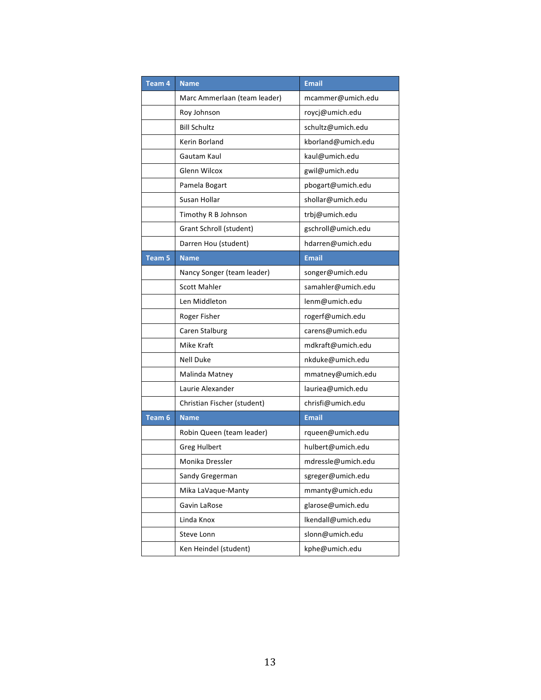| Team <sub>4</sub> | <b>Name</b>                  | <b>Email</b>       |
|-------------------|------------------------------|--------------------|
|                   | Marc Ammerlaan (team leader) | mcammer@umich.edu  |
|                   | Roy Johnson                  | roycj@umich.edu    |
|                   | <b>Bill Schultz</b>          | schultz@umich.edu  |
|                   | Kerin Borland                | kborland@umich.edu |
|                   | Gautam Kaul                  | kaul@umich.edu     |
|                   | <b>Glenn Wilcox</b>          | gwil@umich.edu     |
|                   | Pamela Bogart                | pbogart@umich.edu  |
|                   | Susan Hollar                 | shollar@umich.edu  |
|                   | Timothy R B Johnson          | trbj@umich.edu     |
|                   | Grant Schroll (student)      | gschroll@umich.edu |
|                   | Darren Hou (student)         | hdarren@umich.edu  |
| Team <sub>5</sub> | <b>Name</b>                  | <b>Email</b>       |
|                   | Nancy Songer (team leader)   | songer@umich.edu   |
|                   | <b>Scott Mahler</b>          | samahler@umich.edu |
|                   | Len Middleton                | lenm@umich.edu     |
|                   | Roger Fisher                 | rogerf@umich.edu   |
|                   | Caren Stalburg               | carens@umich.edu   |
|                   | Mike Kraft                   | mdkraft@umich.edu  |
|                   | <b>Nell Duke</b>             | nkduke@umich.edu   |
|                   | Malinda Matney               | mmatney@umich.edu  |
|                   | Laurie Alexander             | lauriea@umich.edu  |
|                   | Christian Fischer (student)  | chrisfi@umich.edu  |
| Team 6            | <b>Name</b>                  | <b>Email</b>       |
|                   | Robin Queen (team leader)    | rqueen@umich.edu   |
|                   | <b>Greg Hulbert</b>          | hulbert@umich.edu  |
|                   | Monika Dressler              | mdressle@umich.edu |
|                   | Sandy Gregerman              | sgreger@umich.edu  |
|                   | Mika LaVaque-Manty           | mmanty@umich.edu   |
|                   | Gavin LaRose                 | glarose@umich.edu  |
|                   | Linda Knox                   | Ikendall@umich.edu |
|                   | Steve Lonn                   | slonn@umich.edu    |
|                   | Ken Heindel (student)        | kphe@umich.edu     |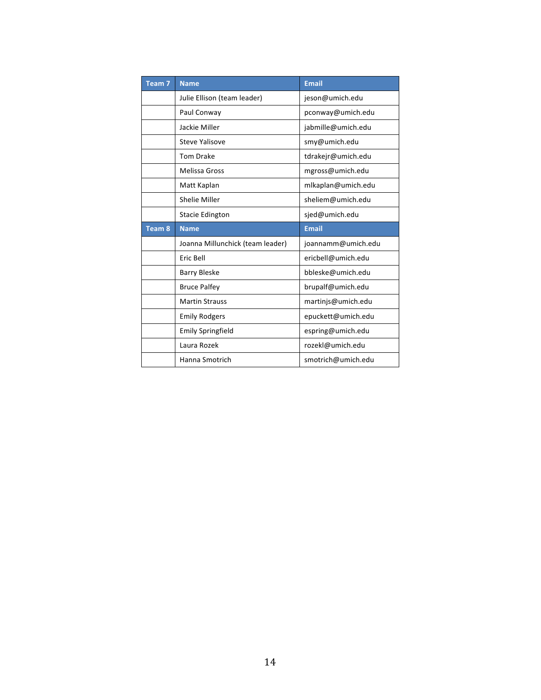| Team <sub>7</sub> | <b>Name</b>                      | <b>Email</b>       |
|-------------------|----------------------------------|--------------------|
|                   | Julie Ellison (team leader)      | jeson@umich.edu    |
|                   | Paul Conway                      | pconway@umich.edu  |
|                   | Jackie Miller                    | jabmille@umich.edu |
|                   | Steve Yalisove                   | smy@umich.edu      |
|                   | <b>Tom Drake</b>                 | tdrakejr@umich.edu |
|                   | <b>Melissa Gross</b>             | mgross@umich.edu   |
|                   | Matt Kaplan                      | mlkaplan@umich.edu |
|                   | Shelie Miller                    | sheliem@umich.edu  |
|                   | <b>Stacie Edington</b>           | sjed@umich.edu     |
|                   |                                  |                    |
| Team <sub>8</sub> | <b>Name</b>                      | <b>Email</b>       |
|                   | Joanna Millunchick (team leader) | joannamm@umich.edu |
|                   | Eric Bell                        | ericbell@umich.edu |
|                   | <b>Barry Bleske</b>              | bbleske@umich.edu  |
|                   | <b>Bruce Palfey</b>              | brupalf@umich.edu  |
|                   | <b>Martin Strauss</b>            | martinjs@umich.edu |
|                   | <b>Emily Rodgers</b>             | epuckett@umich.edu |
|                   | <b>Emily Springfield</b>         | espring@umich.edu  |
|                   | Laura Rozek                      | rozekl@umich.edu   |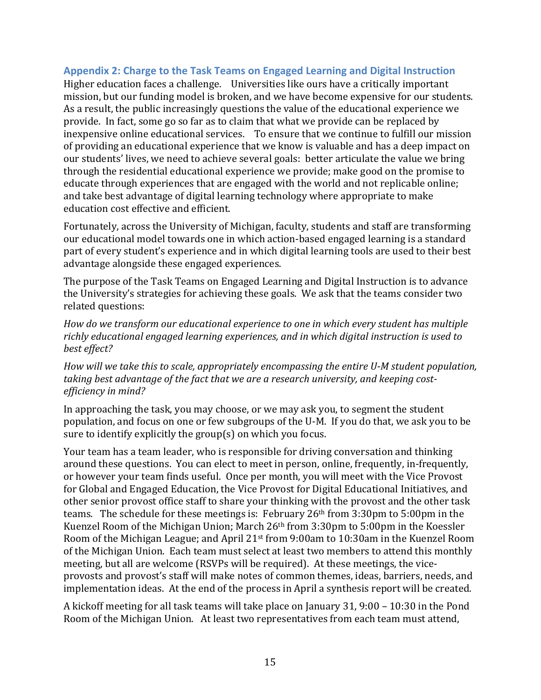#### Appendix 2: Charge to the Task Teams on Engaged Learning and Digital Instruction

Higher education faces a challenge. Universities like ours have a critically important mission, but our funding model is broken, and we have become expensive for our students. As a result, the public increasingly questions the value of the educational experience we provide. In fact, some go so far as to claim that what we provide can be replaced by inexpensive online educational services. To ensure that we continue to fulfill our mission of providing an educational experience that we know is valuable and has a deep impact on our students' lives, we need to achieve several goals: better articulate the value we bring through the residential educational experience we provide; make good on the promise to educate through experiences that are engaged with the world and not replicable online; and take best advantage of digital learning technology where appropriate to make education cost effective and efficient.

Fortunately, across the University of Michigan, faculty, students and staff are transforming our educational model towards one in which action-based engaged learning is a standard part of every student's experience and in which digital learning tools are used to their best advantage alongside these engaged experiences.

The purpose of the Task Teams on Engaged Learning and Digital Instruction is to advance the University's strategies for achieving these goals. We ask that the teams consider two related questions:

How do we transform our educational experience to one in which every student has multiple richly educational engaged learning experiences, and in which digital instruction is used to best effect?

*How* will we take this to scale, appropriately encompassing the entire U-M student population, taking best advantage of the fact that we are a research university, and keeping cost*efficiency in mind?* 

In approaching the task, you may choose, or we may ask you, to segment the student population, and focus on one or few subgroups of the U-M. If you do that, we ask you to be sure to identify explicitly the group(s) on which you focus.

Your team has a team leader, who is responsible for driving conversation and thinking around these questions. You can elect to meet in person, online, frequently, in-frequently, or however your team finds useful. Once per month, you will meet with the Vice Provost for Global and Engaged Education, the Vice Provost for Digital Educational Initiatives, and other senior provost office staff to share your thinking with the provost and the other task teams. The schedule for these meetings is: February  $26<sup>th</sup>$  from  $3:30$ pm to  $5:00$ pm in the Kuenzel Room of the Michigan Union; March  $26<sup>th</sup>$  from  $3:30<sup>th</sup>$  to  $5:00<sup>th</sup>$  in the Koessler Room of the Michigan League; and April  $21<sup>st</sup>$  from 9:00am to 10:30am in the Kuenzel Room of the Michigan Union. Each team must select at least two members to attend this monthly meeting, but all are welcome (RSVPs will be required). At these meetings, the viceprovosts and provost's staff will make notes of common themes, ideas, barriers, needs, and implementation ideas. At the end of the process in April a synthesis report will be created.

A kickoff meeting for all task teams will take place on January 31, 9:00 – 10:30 in the Pond Room of the Michigan Union. At least two representatives from each team must attend,